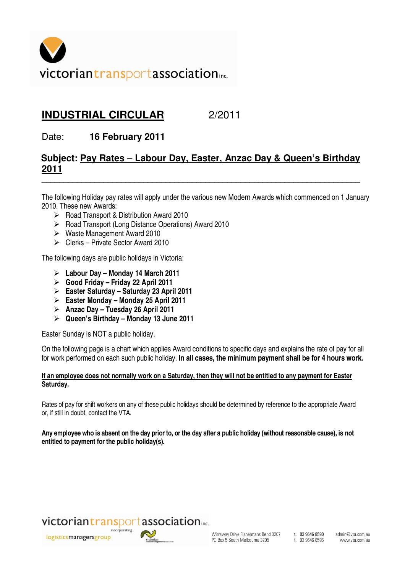

## **INDUSTRIAL CIRCULAR** 2/2011

Date: **16 February 2011** 

## **Subject: Pay Rates – Labour Day, Easter, Anzac Day & Queen's Birthday 2011**

**\_\_\_\_\_\_\_\_\_\_\_\_\_\_\_\_\_\_\_\_\_\_\_\_\_\_\_\_\_\_\_\_\_\_\_\_\_\_\_\_\_\_\_\_\_\_\_\_\_\_\_\_\_\_\_\_\_\_\_\_\_\_\_\_\_\_\_\_\_\_\_\_**

The following Holiday pay rates will apply under the various new Modern Awards which commenced on 1 January 2010. These new Awards:

- ▶ Road Transport & Distribution Award 2010
- ▶ Road Transport (Long Distance Operations) Award 2010
- $\triangleright$  Waste Management Award 2010
- Clerks Private Sector Award 2010

The following days are public holidays in Victoria:

- **Labour Day Monday 14 March 2011**
- **Good Friday Friday 22 April 2011**
- **Easter Saturday Saturday 23 April 2011**
- **Easter Monday Monday 25 April 2011**
- **Anzac Day Tuesday 26 April 2011**
- **Queen's Birthday Monday 13 June 2011**

Easter Sunday is NOT a public holiday.

On the following page is a chart which applies Award conditions to specific days and explains the rate of pay for all for work performed on each such public holiday. **In all cases, the minimum payment shall be for 4 hours work.** 

## **If an employee does not normally work on a Saturday, then they will not be entitled to any payment for Easter Saturday.**

Rates of pay for shift workers on any of these public holidays should be determined by reference to the appropriate Award or, if still in doubt, contact the VTA.

**Any employee who is absent on the day prior to, or the day after a public holiday (without reasonable cause), is not entitled to payment for the public holiday(s).** 

## victoriantransportassociation....

logisticsmanagersgroup



Wirraway Drive Fishermans Bend 3207 PO Box 5 South Melbourne 3205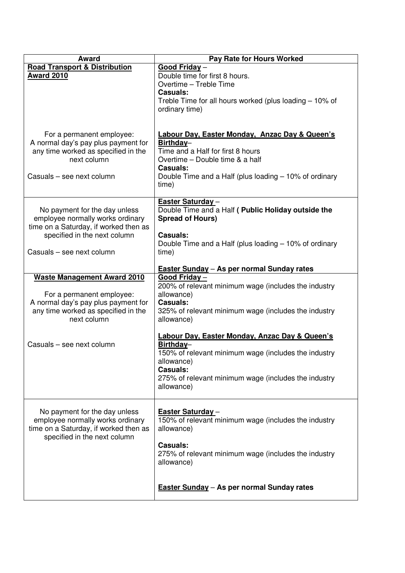| <b>Award</b>                                                                                                                                                            | Pay Rate for Hours Worked                                                                                                                                                                                                        |
|-------------------------------------------------------------------------------------------------------------------------------------------------------------------------|----------------------------------------------------------------------------------------------------------------------------------------------------------------------------------------------------------------------------------|
| <b>Road Transport &amp; Distribution</b><br><b>Award 2010</b>                                                                                                           | Good Friday-<br>Double time for first 8 hours.<br>Overtime - Treble Time<br><b>Casuals:</b><br>Treble Time for all hours worked (plus loading $-10\%$ of<br>ordinary time)                                                       |
| For a permanent employee:<br>A normal day's pay plus payment for<br>any time worked as specified in the<br>next column<br>Casuals - see next column                     | Labour Day, Easter Monday, Anzac Day & Queen's<br>Birthday-<br>Time and a Half for first 8 hours<br>Overtime - Double time & a half<br><b>Casuals:</b><br>Double Time and a Half (plus loading – 10% of ordinary<br>time)        |
| No payment for the day unless<br>employee normally works ordinary<br>time on a Saturday, if worked then as<br>specified in the next column<br>Casuals - see next column | <b>Easter Saturday-</b><br>Double Time and a Half ( Public Holiday outside the<br><b>Spread of Hours)</b><br><b>Casuals:</b><br>Double Time and a Half (plus loading $-10\%$ of ordinary<br>time)                                |
| <b>Waste Management Award 2010</b><br>For a permanent employee:<br>A normal day's pay plus payment for<br>any time worked as specified in the<br>next column            | <b>Easter Sunday - As per normal Sunday rates</b><br>Good Friday-<br>200% of relevant minimum wage (includes the industry<br>allowance)<br><b>Casuals:</b><br>325% of relevant minimum wage (includes the industry<br>allowance) |
| Casuals - see next column                                                                                                                                               | Labour Day, Easter Monday, Anzac Day & Queen's<br>Birthday-<br>150% of relevant minimum wage (includes the industry<br>allowance)<br><b>Casuals:</b><br>275% of relevant minimum wage (includes the industry<br>allowance)       |
| No payment for the day unless<br>employee normally works ordinary<br>time on a Saturday, if worked then as<br>specified in the next column                              | Easter Saturday-<br>150% of relevant minimum wage (includes the industry<br>allowance)<br><b>Casuals:</b><br>275% of relevant minimum wage (includes the industry<br>allowance)                                                  |
|                                                                                                                                                                         | <b>Easter Sunday - As per normal Sunday rates</b>                                                                                                                                                                                |